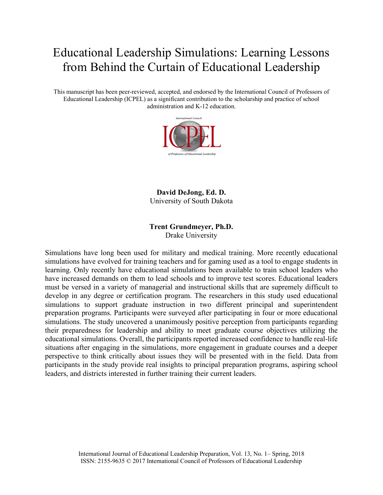# Educational Leadership Simulations: Learning Lessons from Behind the Curtain of Educational Leadership

This manuscript has been peer-reviewed, accepted, and endorsed by the International Council of Professors of Educational Leadership (ICPEL) as a significant contribution to the scholarship and practice of school administration and K-12 education.



**David DeJong, Ed. D.** University of South Dakota

# **Trent Grundmeyer, Ph.D.**

Drake University

Simulations have long been used for military and medical training. More recently educational simulations have evolved for training teachers and for gaming used as a tool to engage students in learning. Only recently have educational simulations been available to train school leaders who have increased demands on them to lead schools and to improve test scores. Educational leaders must be versed in a variety of managerial and instructional skills that are supremely difficult to develop in any degree or certification program. The researchers in this study used educational simulations to support graduate instruction in two different principal and superintendent preparation programs. Participants were surveyed after participating in four or more educational simulations. The study uncovered a unanimously positive perception from participants regarding their preparedness for leadership and ability to meet graduate course objectives utilizing the educational simulations. Overall, the participants reported increased confidence to handle real-life situations after engaging in the simulations, more engagement in graduate courses and a deeper perspective to think critically about issues they will be presented with in the field. Data from participants in the study provide real insights to principal preparation programs, aspiring school leaders, and districts interested in further training their current leaders.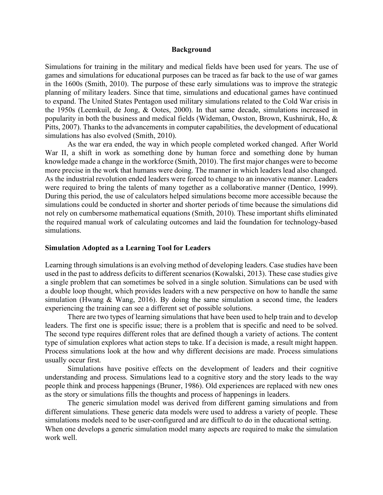#### **Background**

Simulations for training in the military and medical fields have been used for years. The use of games and simulations for educational purposes can be traced as far back to the use of war games in the 1600s (Smith, 2010). The purpose of these early simulations was to improve the strategic planning of military leaders. Since that time, simulations and educational games have continued to expand. The United States Pentagon used military simulations related to the Cold War crisis in the 1950s (Leemkuil, de Jong, & Ootes, 2000). In that same decade, simulations increased in popularity in both the business and medical fields (Wideman, Owston, Brown, Kushniruk, Ho, & Pitts, 2007). Thanks to the advancements in computer capabilities, the development of educational simulations has also evolved (Smith, 2010).

As the war era ended, the way in which people completed worked changed. After World War II, a shift in work as something done by human force and something done by human knowledge made a change in the workforce (Smith, 2010). The first major changes were to become more precise in the work that humans were doing. The manner in which leaders lead also changed. As the industrial revolution ended leaders were forced to change to an innovative manner. Leaders were required to bring the talents of many together as a collaborative manner (Dentico, 1999). During this period, the use of calculators helped simulations become more accessible because the simulations could be conducted in shorter and shorter periods of time because the simulations did not rely on cumbersome mathematical equations (Smith, 2010). These important shifts eliminated the required manual work of calculating outcomes and laid the foundation for technology-based simulations.

#### **Simulation Adopted as a Learning Tool for Leaders**

Learning through simulations is an evolving method of developing leaders. Case studies have been used in the past to address deficits to different scenarios (Kowalski, 2013). These case studies give a single problem that can sometimes be solved in a single solution. Simulations can be used with a double loop thought, which provides leaders with a new perspective on how to handle the same simulation (Hwang  $\&$  Wang, 2016). By doing the same simulation a second time, the leaders experiencing the training can see a different set of possible solutions.

There are two types of learning simulations that have been used to help train and to develop leaders. The first one is specific issue; there is a problem that is specific and need to be solved. The second type requires different roles that are defined though a variety of actions. The content type of simulation explores what action steps to take. If a decision is made, a result might happen. Process simulations look at the how and why different decisions are made. Process simulations usually occur first.

Simulations have positive effects on the development of leaders and their cognitive understanding and process. Simulations lead to a cognitive story and the story leads to the way people think and process happenings (Bruner, 1986). Old experiences are replaced with new ones as the story or simulations fills the thoughts and process of happenings in leaders.

The generic simulation model was derived from different gaming simulations and from different simulations. These generic data models were used to address a variety of people. These simulations models need to be user-configured and are difficult to do in the educational setting. When one develops a generic simulation model many aspects are required to make the simulation work well.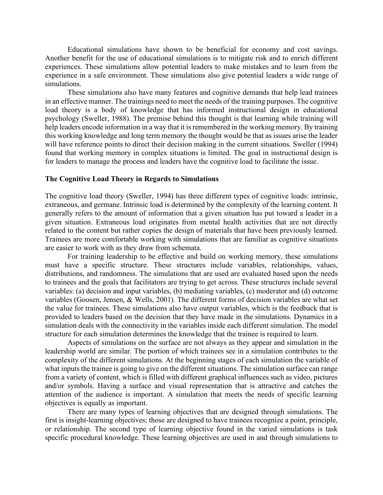Educational simulations have shown to be beneficial for economy and cost savings. Another benefit for the use of educational simulations is to mitigate risk and to enrich different experiences. These simulations allow potential leaders to make mistakes and to learn from the experience in a safe environment. These simulations also give potential leaders a wide range of simulations.

These simulations also have many features and cognitive demands that help lead trainees in an effective manner. The trainings need to meet the needs of the training purposes. The cognitive load theory is a body of knowledge that has informed instructional design in educational psychology (Sweller, 1988). The premise behind this thought is that learning while training will help leaders encode information in a way that it is remembered in the working memory. By training this working knowledge and long term memory the thought would be that as issues arise the leader will have reference points to direct their decision making in the current situations. Sweller (1994) found that working memory in complex situations is limited. The goal in instructional design is for leaders to manage the process and leaders have the cognitive load to facilitate the issue.

#### **The Cognitive Load Theory in Regards to Simulations**

The cognitive load theory (Sweller, 1994) has three different types of cognitive loads: intrinsic, extraneous, and germane. Intrinsic load is determined by the complexity of the learning content. It generally refers to the amount of information that a given situation has put toward a leader in a given situation. Extraneous load originates from mental health activities that are not directly related to the content but rather copies the design of materials that have been previously learned. Trainees are more comfortable working with simulations that are familiar as cognitive situations are easier to work with as they draw from schemata.

For training leadership to be effective and build on working memory, these simulations must have a specific structure. These structures include variables, relationships, values, distributions, and randomness. The simulations that are used are evaluated based upon the needs to trainees and the goals that facilitators are trying to get across. These structures include several variables: (a) decision and input variables, (b) mediating variables, (c) moderator and (d) outcome variables (Goosen, Jensen, & Wells, 2001). The different forms of decision variables are what set the value for trainees. These simulations also have output variables, which is the feedback that is provided to leaders based on the decision that they have made in the simulations. Dynamics in a simulation deals with the connectivity in the variables inside each different simulation. The model structure for each simulation determines the knowledge that the trainee is required to learn.

Aspects of simulations on the surface are not always as they appear and simulation in the leadership world are similar. The portion of which trainees see in a simulation contributes to the complexity of the different simulations. At the beginning stages of each simulation the variable of what inputs the trainee is going to give on the different situations. The simulation surface can range from a variety of content, which is filled with different graphical influences such as video, pictures and/or symbols. Having a surface and visual representation that is attractive and catches the attention of the audience is important. A simulation that meets the needs of specific learning objectives is equally as important.

There are many types of learning objectives that are designed through simulations. The first is insight-learning objectives; those are designed to have trainees recognize a point, principle, or relationship. The second type of learning objective found in the varied simulations is task specific procedural knowledge. These learning objectives are used in and through simulations to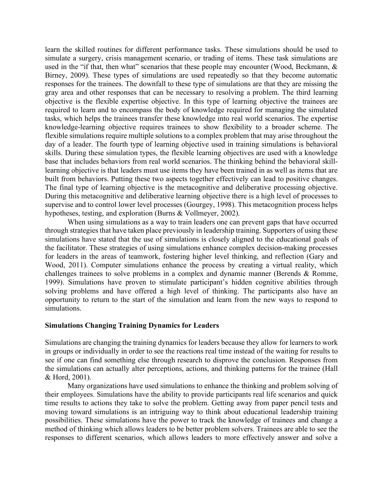learn the skilled routines for different performance tasks. These simulations should be used to simulate a surgery, crisis management scenario, or trading of items. These task simulations are used in the "if that, then what" scenarios that these people may encounter (Wood, Beckmann, & Birney, 2009). These types of simulations are used repeatedly so that they become automatic responses for the trainees. The downfall to these type of simulations are that they are missing the gray area and other responses that can be necessary to resolving a problem. The third learning objective is the flexible expertise objective. In this type of learning objective the trainees are required to learn and to encompass the body of knowledge required for managing the simulated tasks, which helps the trainees transfer these knowledge into real world scenarios. The expertise knowledge-learning objective requires trainees to show flexibility to a broader scheme. The flexible simulations require multiple solutions to a complex problem that may arise throughout the day of a leader. The fourth type of learning objective used in training simulations is behavioral skills. During these simulation types, the flexible learning objectives are used with a knowledge base that includes behaviors from real world scenarios. The thinking behind the behavioral skilllearning objective is that leaders must use items they have been trained in as well as items that are built from behaviors. Putting these two aspects together effectively can lead to positive changes. The final type of learning objective is the metacognitive and deliberative processing objective. During this metacognitive and deliberative learning objective there is a high level of processes to supervise and to control lower level processes (Gourgey, 1998). This metacognition process helps hypotheses, testing, and exploration (Burns & Vollmeyer, 2002).

When using simulations as a way to train leaders one can prevent gaps that have occurred through strategies that have taken place previously in leadership training. Supporters of using these simulations have stated that the use of simulations is closely aligned to the educational goals of the facilitator. These strategies of using simulations enhance complex decision-making processes for leaders in the areas of teamwork, fostering higher level thinking, and reflection (Gary and Wood, 2011). Computer simulations enhance the process by creating a virtual reality, which challenges trainees to solve problems in a complex and dynamic manner (Berends & Romme, 1999). Simulations have proven to stimulate participant's hidden cognitive abilities through solving problems and have offered a high level of thinking. The participants also have an opportunity to return to the start of the simulation and learn from the new ways to respond to simulations.

#### **Simulations Changing Training Dynamics for Leaders**

Simulations are changing the training dynamics for leaders because they allow for learners to work in groups or individually in order to see the reactions real time instead of the waiting for results to see if one can find something else through research to disprove the conclusion. Responses from the simulations can actually alter perceptions, actions, and thinking patterns for the trainee (Hall & Hord, 2001).

Many organizations have used simulations to enhance the thinking and problem solving of their employees. Simulations have the ability to provide participants real life scenarios and quick time results to actions they take to solve the problem. Getting away from paper pencil tests and moving toward simulations is an intriguing way to think about educational leadership training possibilities. These simulations have the power to track the knowledge of trainees and change a method of thinking which allows leaders to be better problem solvers. Trainees are able to see the responses to different scenarios, which allows leaders to more effectively answer and solve a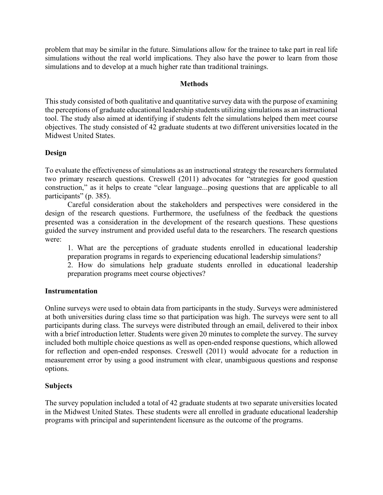problem that may be similar in the future. Simulations allow for the trainee to take part in real life simulations without the real world implications. They also have the power to learn from those simulations and to develop at a much higher rate than traditional trainings.

# **Methods**

This study consisted of both qualitative and quantitative survey data with the purpose of examining the perceptions of graduate educational leadership students utilizing simulations as an instructional tool. The study also aimed at identifying if students felt the simulations helped them meet course objectives. The study consisted of 42 graduate students at two different universities located in the Midwest United States.

# **Design**

To evaluate the effectiveness of simulations as an instructional strategy the researchers formulated two primary research questions. Creswell (2011) advocates for "strategies for good question construction," as it helps to create "clear language...posing questions that are applicable to all participants" (p. 385).

Careful consideration about the stakeholders and perspectives were considered in the design of the research questions. Furthermore, the usefulness of the feedback the questions presented was a consideration in the development of the research questions. These questions guided the survey instrument and provided useful data to the researchers. The research questions were:

1. What are the perceptions of graduate students enrolled in educational leadership preparation programs in regards to experiencing educational leadership simulations?

2. How do simulations help graduate students enrolled in educational leadership preparation programs meet course objectives?

## **Instrumentation**

Online surveys were used to obtain data from participants in the study. Surveys were administered at both universities during class time so that participation was high. The surveys were sent to all participants during class. The surveys were distributed through an email, delivered to their inbox with a brief introduction letter. Students were given 20 minutes to complete the survey. The survey included both multiple choice questions as well as open-ended response questions, which allowed for reflection and open-ended responses. Creswell (2011) would advocate for a reduction in measurement error by using a good instrument with clear, unambiguous questions and response options.

# **Subjects**

The survey population included a total of 42 graduate students at two separate universities located in the Midwest United States. These students were all enrolled in graduate educational leadership programs with principal and superintendent licensure as the outcome of the programs.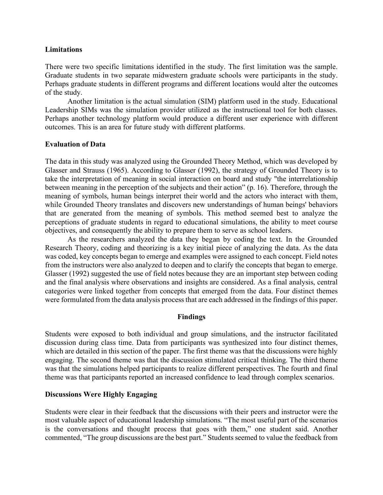#### **Limitations**

There were two specific limitations identified in the study. The first limitation was the sample. Graduate students in two separate midwestern graduate schools were participants in the study. Perhaps graduate students in different programs and different locations would alter the outcomes of the study.

Another limitation is the actual simulation (SIM) platform used in the study. Educational Leadership SIMs was the simulation provider utilized as the instructional tool for both classes. Perhaps another technology platform would produce a different user experience with different outcomes. This is an area for future study with different platforms.

## **Evaluation of Data**

The data in this study was analyzed using the Grounded Theory Method, which was developed by Glasser and Strauss (1965). According to Glasser (1992), the strategy of Grounded Theory is to take the interpretation of meaning in social interaction on board and study "the interrelationship between meaning in the perception of the subjects and their action" (p. 16). Therefore, through the meaning of symbols, human beings interpret their world and the actors who interact with them, while Grounded Theory translates and discovers new understandings of human beings' behaviors that are generated from the meaning of symbols. This method seemed best to analyze the perceptions of graduate students in regard to educational simulations, the ability to meet course objectives, and consequently the ability to prepare them to serve as school leaders.

As the researchers analyzed the data they began by coding the text. In the Grounded Research Theory, coding and theorizing is a key initial piece of analyzing the data. As the data was coded, key concepts began to emerge and examples were assigned to each concept. Field notes from the instructors were also analyzed to deepen and to clarify the concepts that began to emerge. Glasser (1992) suggested the use of field notes because they are an important step between coding and the final analysis where observations and insights are considered. As a final analysis, central categories were linked together from concepts that emerged from the data. Four distinct themes were formulated from the data analysis process that are each addressed in the findings of this paper.

## **Findings**

Students were exposed to both individual and group simulations, and the instructor facilitated discussion during class time. Data from participants was synthesized into four distinct themes, which are detailed in this section of the paper. The first theme was that the discussions were highly engaging. The second theme was that the discussion stimulated critical thinking. The third theme was that the simulations helped participants to realize different perspectives. The fourth and final theme was that participants reported an increased confidence to lead through complex scenarios.

## **Discussions Were Highly Engaging**

Students were clear in their feedback that the discussions with their peers and instructor were the most valuable aspect of educational leadership simulations. "The most useful part of the scenarios is the conversations and thought process that goes with them," one student said. Another commented, "The group discussions are the best part." Students seemed to value the feedback from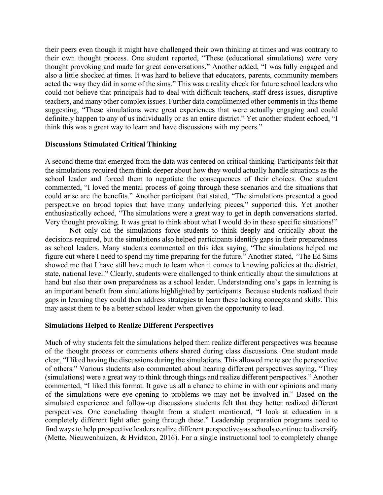their peers even though it might have challenged their own thinking at times and was contrary to their own thought process. One student reported, "These (educational simulations) were very thought provoking and made for great conversations." Another added, "I was fully engaged and also a little shocked at times. It was hard to believe that educators, parents, community members acted the way they did in some of the sims." This was a reality check for future school leaders who could not believe that principals had to deal with difficult teachers, staff dress issues, disruptive teachers, and many other complex issues. Further data complimented other comments in this theme suggesting, "These simulations were great experiences that were actually engaging and could definitely happen to any of us individually or as an entire district." Yet another student echoed, "I think this was a great way to learn and have discussions with my peers."

## **Discussions Stimulated Critical Thinking**

A second theme that emerged from the data was centered on critical thinking. Participants felt that the simulations required them think deeper about how they would actually handle situations as the school leader and forced them to negotiate the consequences of their choices. One student commented, "I loved the mental process of going through these scenarios and the situations that could arise are the benefits." Another participant that stated, "The simulations presented a good perspective on broad topics that have many underlying pieces," supported this. Yet another enthusiastically echoed, "The simulations were a great way to get in depth conversations started. Very thought provoking. It was great to think about what I would do in these specific situations!"

Not only did the simulations force students to think deeply and critically about the decisions required, but the simulations also helped participants identify gaps in their preparedness as school leaders. Many students commented on this idea saying, "The simulations helped me figure out where I need to spend my time preparing for the future." Another stated, "The Ed Sims showed me that I have still have much to learn when it comes to knowing policies at the district, state, national level." Clearly, students were challenged to think critically about the simulations at hand but also their own preparedness as a school leader. Understanding one's gaps in learning is an important benefit from simulations highlighted by participants. Because students realized their gaps in learning they could then address strategies to learn these lacking concepts and skills. This may assist them to be a better school leader when given the opportunity to lead.

#### **Simulations Helped to Realize Different Perspectives**

Much of why students felt the simulations helped them realize different perspectives was because of the thought process or comments others shared during class discussions. One student made clear, "I liked having the discussions during the simulations. This allowed me to see the perspective of others." Various students also commented about hearing different perspectives saying, "They (simulations) were a great way to think through things and realize different perspectives." Another commented, "I liked this format. It gave us all a chance to chime in with our opinions and many of the simulations were eye-opening to problems we may not be involved in." Based on the simulated experience and follow-up discussions students felt that they better realized different perspectives. One concluding thought from a student mentioned, "I look at education in a completely different light after going through these." Leadership preparation programs need to find ways to help prospective leaders realize different perspectives as schools continue to diversify (Mette, Nieuwenhuizen, & Hvidston, 2016). For a single instructional tool to completely change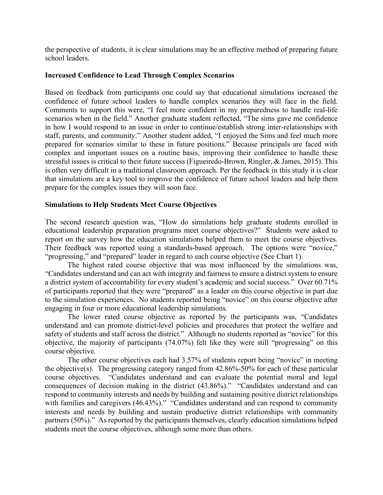the perspective of students, it is clear simulations may be an effective method of preparing future school leaders.

# **Increased Confidence to Lead Through Complex Scenarios**

Based on feedback from participants one could say that educational simulations increased the confidence of future school leaders to handle complex scenarios they will face in the field. Comments to support this were, "I feel more confident in my preparedness to handle real-life scenarios when in the field." Another graduate student reflected, "The sims gave me confidence in how I would respond to an issue in order to continue/establish strong inter-relationships with staff, parents, and community." Another student added, "I enjoyed the Sims and feel much more prepared for scenarios similar to these in future positions." Because principals are faced with complex and important issues on a routine basis, improving their confidence to handle these stressful issues is critical to their future success (Figueiredo-Brown, Ringler, & James, 2015). This is often very difficult in a traditional classroom approach. Per the feedback in this study it is clear that simulations are a key tool to improve the confidence of future school leaders and help them prepare for the complex issues they will soon face.

# **Simulations to Help Students Meet Course Objectives**

The second research question was, "How do simulations help graduate students enrolled in educational leadership preparation programs meet course objectives?" Students were asked to report on the survey how the education simulations helped them to meet the course objectives. Their feedback was reported using a standards-based approach. The options were "novice," "progressing," and "prepared" leader in regard to each course objective (See Chart 1).

The highest rated course objective that was most influenced by the simulations was, "Candidates understand and can act with integrity and fairness to ensure a district system to ensure a district system of accountability for every student's academic and social success." Over 60.71% of participants reported that they were "prepared" as a leader on this course objective in part due to the simulation experiences. No students reported being "novice" on this course objective after engaging in four or more educational leadership simulations.

The lower rated course objective as reported by the participants was, "Candidates understand and can promote district-level policies and procedures that protect the welfare and safety of students and staff across the district." Although no students reported as "novice" for this objective, the majority of participants (74.07%) felt like they were still "progressing" on this course objective.

The other course objectives each had 3.57% of students report being "novice" in meeting the objective(s). The progressing category ranged from 42.86%-50% for each of these particular course objectives. "Candidates understand and can evaluate the potential moral and legal consequences of decision making in the district (43.86%)." "Candidates understand and can respond to community interests and needs by building and sustaining positive district relationships with families and caregivers (46.43%)." "Candidates understand and can respond to community interests and needs by building and sustain productive district relationships with community partners (50%)." As reported by the participants themselves, clearly education simulations helped students meet the course objectives, although some more than others.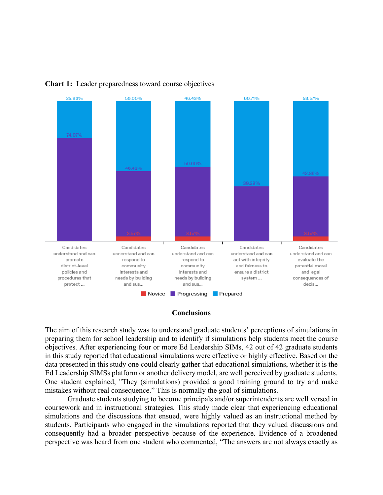

#### **Chart 1:** Leader preparedness toward course objectives

#### **Conclusions**

The aim of this research study was to understand graduate students' perceptions of simulations in preparing them for school leadership and to identify if simulations help students meet the course objectives. After experiencing four or more Ed Leadership SIMs, 42 out of 42 graduate students in this study reported that educational simulations were effective or highly effective. Based on the data presented in this study one could clearly gather that educational simulations, whether it is the Ed Leadership SIMSs platform or another delivery model, are well perceived by graduate students. One student explained, "They (simulations) provided a good training ground to try and make mistakes without real consequence." This is normally the goal of simulations.

Graduate students studying to become principals and/or superintendents are well versed in coursework and in instructional strategies. This study made clear that experiencing educational simulations and the discussions that ensued, were highly valued as an instructional method by students. Participants who engaged in the simulations reported that they valued discussions and consequently had a broader perspective because of the experience. Evidence of a broadened perspective was heard from one student who commented, "The answers are not always exactly as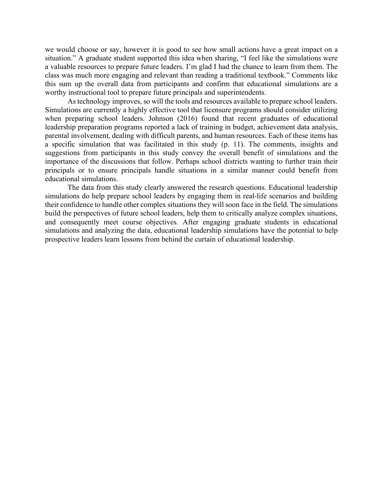we would choose or say, however it is good to see how small actions have a great impact on a situation." A graduate student supported this idea when sharing, "I feel like the simulations were a valuable resources to prepare future leaders. I'm glad I had the chance to learn from them. The class was much more engaging and relevant than reading a traditional textbook." Comments like this sum up the overall data from participants and confirm that educational simulations are a worthy instructional tool to prepare future principals and superintendents.

As technology improves, so will the tools and resources available to prepare school leaders. Simulations are currently a highly effective tool that licensure programs should consider utilizing when preparing school leaders. Johnson (2016) found that recent graduates of educational leadership preparation programs reported a lack of training in budget, achievement data analysis, parental involvement, dealing with difficult parents, and human resources. Each of these items has a specific simulation that was facilitated in this study (p. 11). The comments, insights and suggestions from participants in this study convey the overall benefit of simulations and the importance of the discussions that follow. Perhaps school districts wanting to further train their principals or to ensure principals handle situations in a similar manner could benefit from educational simulations.

The data from this study clearly answered the research questions. Educational leadership simulations do help prepare school leaders by engaging them in real-life scenarios and building their confidence to handle other complex situations they will soon face in the field. The simulations build the perspectives of future school leaders, help them to critically analyze complex situations, and consequently meet course objectives. After engaging graduate students in educational simulations and analyzing the data, educational leadership simulations have the potential to help prospective leaders learn lessons from behind the curtain of educational leadership.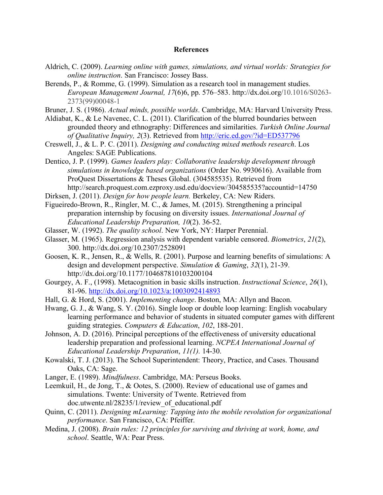#### **References**

- Aldrich, C. (2009). *Learning online with games, simulations, and virtual worlds: Strategies for online instruction*. San Francisco: Jossey Bass.
- Berends, P., & Romme, G. (1999). Simulation as a research tool in management studies. *European Management Journal, 17*(6)6, pp. 576–583. http://dx.doi.org/10.1016/S0263- 2373(99)00048-1
- Bruner, J. S. (1986). *Actual minds, possible worlds*. Cambridge, MA: Harvard University Press.
- Aldiabat, K., & Le Navenec, C. L. (2011). Clarification of the blurred boundaries between grounded theory and ethnography: Differences and similarities. *Turkish Online Journal of Qualitative Inquiry, 2*(3). Retrieved from http://eric.ed.gov/?id=ED537796
- Creswell, J., & L. P. C. (2011). *Designing and conducting mixed methods research*. Los Angeles: SAGE Publications.

Dentico, J. P. (1999). *Games leaders play: Collaborative leadership development through simulations in knowledge based organizations* (Order No. 9930616). Available from ProQuest Dissertations & Theses Global. (304585535). Retrieved from http://search.proquest.com.ezproxy.usd.edu/docview/304585535?accountid=14750

- Dirksen, J. (2011). *Design for how people learn.* Berkeley, CA: New Riders.
- Figueiredo-Brown, R., Ringler, M. C., & James, M. (2015). Strengthening a principal preparation internship by focusing on diversity issues. *International Journal of Educational Leadership Preparation, 10*(2). 36-52.
- Glasser, W. (1992). *The quality school*. New York, NY: Harper Perennial.
- Glasser, M. (1965). Regression analysis with dependent variable censored. *Biometrics*, *21*(2), 300. http://dx.doi.org/10.2307/2528091
- Goosen, K. R., Jensen, R., & Wells, R. (2001). Purpose and learning benefits of simulations: A design and development perspective. *Simulation & Gaming*, *32*(1), 21-39. http://dx.doi.org/10.1177/104687810103200104
- Gourgey, A. F., (1998). Metacognition in basic skills instruction. *Instructional Science*, *26*(1), 81-96. http://dx.doi.org/10.1023/a:1003092414893
- Hall, G. & Hord, S. (2001). *Implementing change*. Boston, MA: Allyn and Bacon.
- Hwang, G. J., & Wang, S. Y. (2016). Single loop or double loop learning: English vocabulary learning performance and behavior of students in situated computer games with different guiding strategies. *Computers & Education*, *102*, 188-201.
- Johnson, A. D. (2016). Principal perceptions of the effectiveness of university educational leadership preparation and professional learning. *NCPEA International Journal of Educational Leadership Preparation*, *11(1).* 14-30.
- Kowalski, T. J. (2013). The School Superintendent: Theory, Practice, and Cases. Thousand Oaks, CA: Sage.
- Langer, E. (1989). *Mindfulness*. Cambridge, MA: Perseus Books.
- Leemkuil, H., de Jong, T., & Ootes, S. (2000). Review of educational use of games and simulations. Twente: University of Twente. Retrieved from doc.utwente.nl/28235/1/review\_of\_educational.pdf
- Quinn, C. (2011). *Designing mLearning: Tapping into the mobile revolution for organizational performance*. San Francisco, CA: Pfeiffer.
- Medina, J. (2008). *Brain rules: 12 principles for surviving and thriving at work, home, and school*. Seattle, WA: Pear Press.